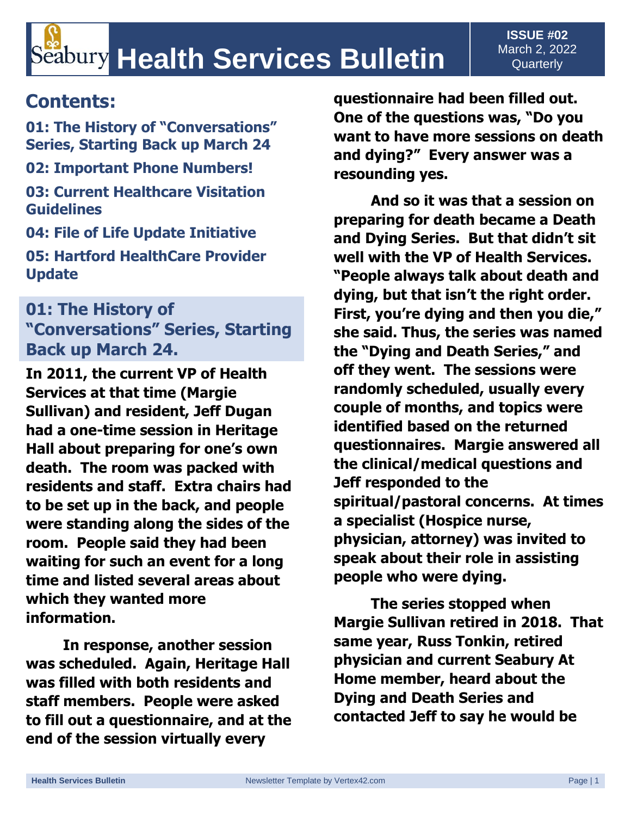## **Contents:**

**01: The History of "Conversations" Series, Starting Back up March 24 02: Important Phone Numbers!**

**03: Current Healthcare Visitation Guidelines** 

**04: File of Life Update Initiative** 

**05: Hartford HealthCare Provider Update** 

#### **01: The History of "Conversations" Series, Starting Back up March 24.**

**In 2011, the current VP of Health Services at that time (Margie Sullivan) and resident, Jeff Dugan had a one-time session in Heritage Hall about preparing for one's own death. The room was packed with residents and staff. Extra chairs had to be set up in the back, and people were standing along the sides of the room. People said they had been waiting for such an event for a long time and listed several areas about which they wanted more information.**

**In response, another session was scheduled. Again, Heritage Hall was filled with both residents and staff members. People were asked to fill out a questionnaire, and at the end of the session virtually every** 

**questionnaire had been filled out. One of the questions was, "Do you want to have more sessions on death and dying?" Every answer was a resounding yes.**

**And so it was that a session on preparing for death became a Death and Dying Series. But that didn't sit well with the VP of Health Services. "People always talk about death and dying, but that isn't the right order. First, you're dying and then you die," she said. Thus, the series was named the "Dying and Death Series," and off they went. The sessions were randomly scheduled, usually every couple of months, and topics were identified based on the returned questionnaires. Margie answered all the clinical/medical questions and Jeff responded to the spiritual/pastoral concerns. At times a specialist (Hospice nurse, physician, attorney) was invited to speak about their role in assisting people who were dying.**

**The series stopped when Margie Sullivan retired in 2018. That same year, Russ Tonkin, retired physician and current Seabury At Home member, heard about the Dying and Death Series and contacted Jeff to say he would be**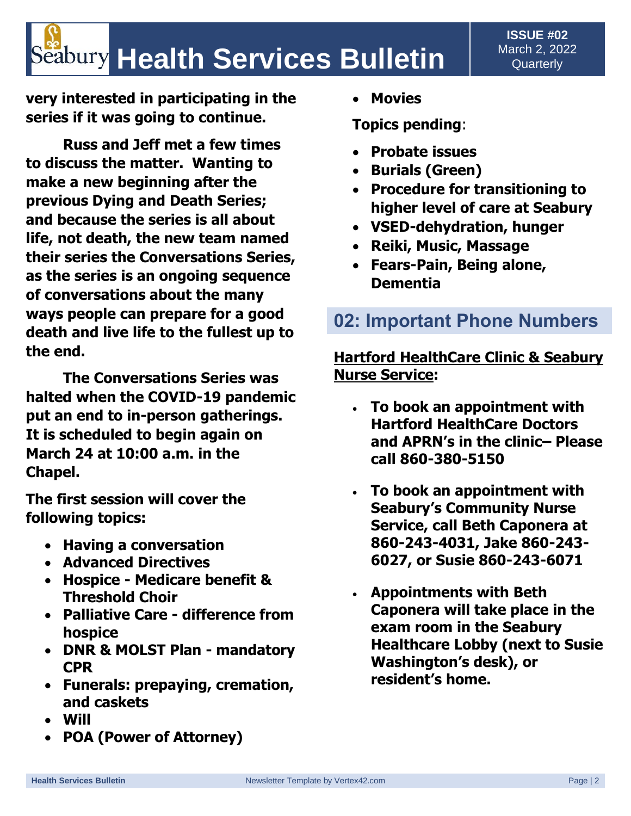# **Seabury Health Services Bulletin**

**very interested in participating in the series if it was going to continue.**

**Russ and Jeff met a few times to discuss the matter. Wanting to make a new beginning after the previous Dying and Death Series; and because the series is all about life, not death, the new team named their series the Conversations Series, as the series is an ongoing sequence of conversations about the many ways people can prepare for a good death and live life to the fullest up to the end.**

**The Conversations Series was halted when the COVID-19 pandemic put an end to in-person gatherings. It is scheduled to begin again on March 24 at 10:00 a.m. in the Chapel.**

**The first session will cover the following topics:**

- **Having a conversation**
- **Advanced Directives**
- **Hospice - Medicare benefit & Threshold Choir**
- **Palliative Care - difference from hospice**
- **DNR & MOLST Plan - mandatory CPR**
- **Funerals: prepaying, cremation, and caskets**
- **Will**
- **POA (Power of Attorney)**

• **Movies**

**Topics pending**:

- **Probate issues**
- **Burials (Green)**
- **Procedure for transitioning to higher level of care at Seabury**
- **VSED-dehydration, hunger**
- **Reiki, Music, Massage**
- **Fears-Pain, Being alone, Dementia**

### **02: Important Phone Numbers**

#### **Hartford HealthCare Clinic & Seabury Nurse Service:**

- **To book an appointment with Hartford HealthCare Doctors and APRN's in the clinic– Please call 860-380-5150**
- **To book an appointment with Seabury's Community Nurse Service, call Beth Caponera at 860-243-4031, Jake 860-243- 6027, or Susie 860-243-6071**
- **Appointments with Beth Caponera will take place in the exam room in the Seabury Healthcare Lobby (next to Susie Washington's desk), or resident's home.**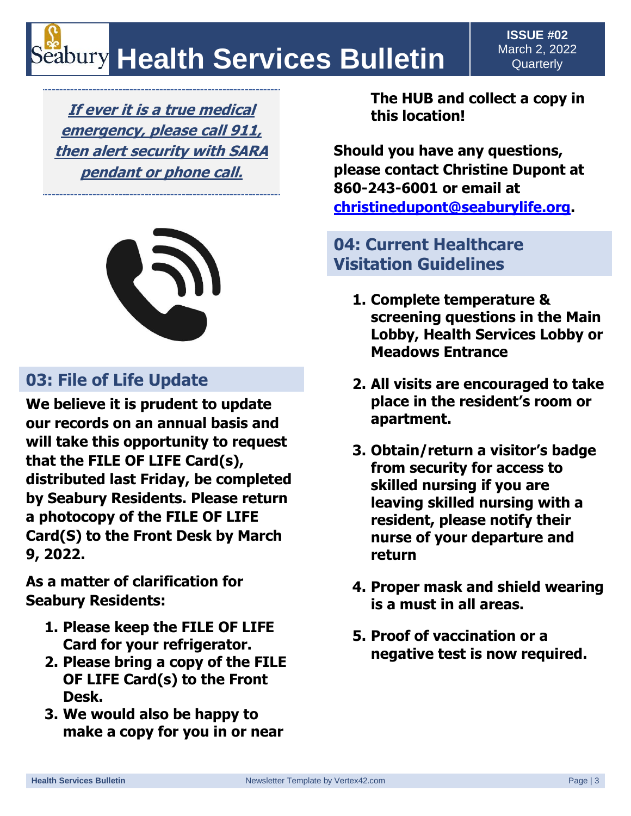# **Health Services Bulletin**

**If ever it is a true medical emergency, please call 911, then alert security with SARA pendant or phone call.**



### **03: File of Life Update**

**We believe it is prudent to update our records on an annual basis and will take this opportunity to request that the FILE OF LIFE Card(s), distributed last Friday, be completed by Seabury Residents. Please return a photocopy of the FILE OF LIFE Card(S) to the Front Desk by March 9, 2022.** 

**As a matter of clarification for Seabury Residents:**

- **1. Please keep the FILE OF LIFE Card for your refrigerator.**
- **2. Please bring a copy of the FILE OF LIFE Card(s) to the Front Desk.**
- **3. We would also be happy to make a copy for you in or near**

**The HUB and collect a copy in this location!** 

**Should you have any questions, please contact Christine Dupont at 860-243-6001 or email at [christinedupont@seaburylife.org.](mailto:christinedupont@seaburylife.org)** 

### **04: Current Healthcare Visitation Guidelines**

- **1. Complete temperature & screening questions in the Main Lobby, Health Services Lobby or Meadows Entrance**
- **2. All visits are encouraged to take place in the resident's room or apartment.**
- **3. Obtain/return a visitor's badge from security for access to skilled nursing if you are leaving skilled nursing with a resident, please notify their nurse of your departure and return**
- **4. Proper mask and shield wearing is a must in all areas.**
- **5. Proof of vaccination or a negative test is now required.**